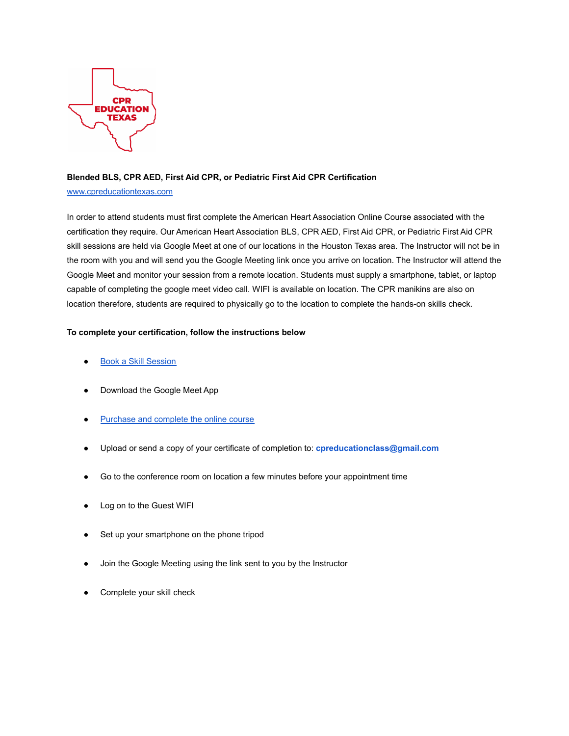

## **Blended BLS, CPR AED, First Aid CPR, or Pediatric First Aid CPR Certification**

## [www.cpreducationtexas.com](http://www.cpreducationtexas.com)

In order to attend students must first complete the American Heart Association Online Course associated with the certification they require. Our American Heart Association BLS, CPR AED, First Aid CPR, or Pediatric First Aid CPR skill sessions are held via Google Meet at one of our locations in the Houston Texas area. The Instructor will not be in the room with you and will send you the Google Meeting link once you arrive on location. The Instructor will attend the Google Meet and monitor your session from a remote location. Students must supply a smartphone, tablet, or laptop capable of completing the google meet video call. WIFI is available on location. The CPR manikins are also on location therefore, students are required to physically go to the location to complete the hands-on skills check.

## **To complete your certification, follow the instructions below**

- [Book a Skill Session](https://www.cpreducationtexas.com/bookonline)
- Download the Google Meet App
- [Purchase and complete the online course](https://www.cpreducationtexas.com/ahaonline)
- Upload or send a copy of your certificate of completion to: **cpreducationclass@gmail.com**
- Go to the conference room on location a few minutes before your appointment time
- Log on to the Guest WIFI
- Set up your smartphone on the phone tripod
- Join the Google Meeting using the link sent to you by the Instructor
- Complete your skill check